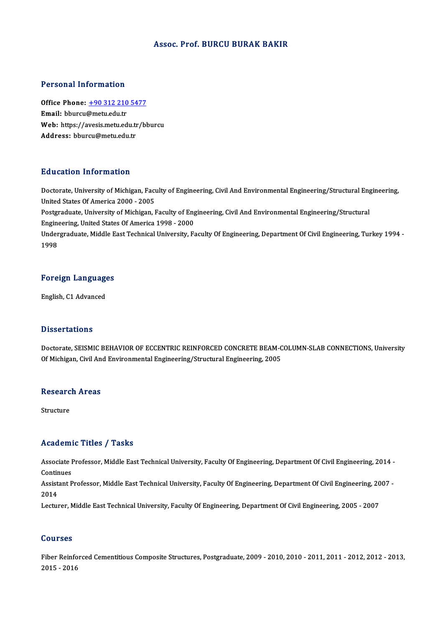#### Assoc. Prof. BURCU BURAK BAKIR

#### Personal Information

Personal Information<br>Office Phone: <u>+90 312 210 5477</u><br>Email: bburgu@matu.edu.tr office Phone: <u>+90 312 210</u><br>Email: bburcu@metu.edu.tr<br>Web: https://avesis.metu.ed Office Phone: <u>+90 312 210 5477</u><br>Email: bburcu@metu.edu.tr<br>Web: https://a[vesis.metu.edu.tr/b](tel:+90 312 210 5477)burcu<br>Addressy bburgu@metu.edu.tr Email: bburcu@metu.edu.tr<br>Web: https://avesis.metu.edu.tr<br>Address: bburcu@metu.edu.tr

#### Education Information

Education Information<br>Doctorate, University of Michigan, Faculty of Engineering, Civil And Environmental Engineering/Structural Engineering,<br>United States Of America 2000, 2005 Palabation Information<br>Doctorate, University of Michigan, Fact<br>United States Of America 2000 - 2005<br>Postanaduate University of Michigan Doctorate, University of Michigan, Faculty of Engineering, Civil And Environmental Engineering/Structural Eng<br>United States Of America 2000 - 2005<br>Postgraduate, University of Michigan, Faculty of Engineering, Civil And Env

United States Of America 2000 - 2005<br>Postgraduate, University of Michigan, Faculty of Eng<br>Engineering, United States Of America 1998 - 2000<br>Undergraduate Middle Feet Technical University, Ee

Postgraduate, University of Michigan, Faculty of Engineering, Civil And Environmental Engineering/Structural<br>Engineering, United States Of America 1998 - 2000<br>Undergraduate, Middle East Technical University, Faculty Of Eng Engino<br>Under<br>1998

## 1<sup>998</sup><br>Foreign Languages <mark>Foreign Languag</mark><br>English, C1 Advanced

English, C1 Advanced<br>Dissertations

Dissertations<br>Doctorate, SEISMIC BEHAVIOR OF ECCENTRIC REINFORCED CONCRETE BEAM-COLUMN-SLAB CONNECTIONS, University<br>Of Michigan, Civil And Environmental Engineering (Structural Engineering, 2005 D'15561 tations<br>Doctorate, SEISMIC BEHAVIOR OF ECCENTRIC REINFORCED CONCRETE BEAM-C<br>Of Michigan, Civil And Environmental Engineering/Structural Engineering, 2005

## or michigan, Civil An<br>Research Areas Re<mark>searc</mark><br>Structure

# Academic Titles / Tasks

Academic Titles / Tasks<br>Associate Professor, Middle East Technical University, Faculty Of Engineering, Department Of Civil Engineering, 2014 -<br>Continues Associate I<br>Continues<br>Assistant B Associate Professor, Middle East Technical University, Faculty Of Engineering, Department Of Civil Engineering, 2014 -<br>Continues<br>Assistant Professor, Middle East Technical University, Faculty Of Engineering, Department Of

Contir<br>Assist<br>2014<br>Lectur Assistant Professor, Middle East Technical University, Faculty Of Engineering, Department Of Civil Engineering, 20<br>2014<br>Lecturer, Middle East Technical University, Faculty Of Engineering, Department Of Civil Engineering, 2

Lecturer, Middle East Technical University, Faculty Of Engineering, Department Of Civil Engineering, 2005 - 2007<br>Courses

Courses<br>Fiber Reinforced Cementitious Composite Structures, Postgraduate, 2009 - 2010, 2010 - 2011, 2011 - 2012, 2012 - 2013,<br>2015 - 2016 2011<br>2015 - 2016<br>2015 - 2016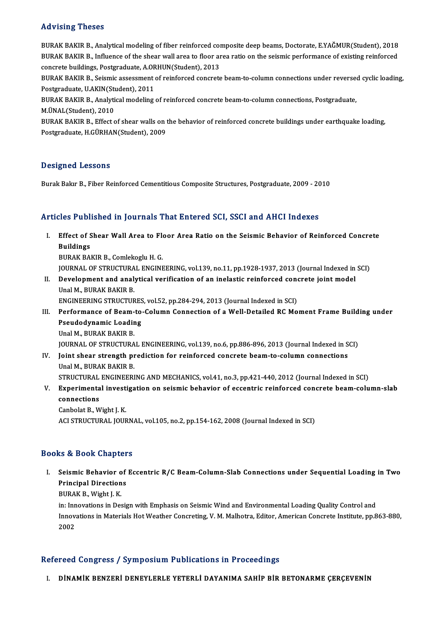#### Advising Theses

Advising Theses<br>BURAK BAKIR B., Analytical modeling of fiber reinforced composite deep beams, Doctorate, E.YAĞMUR(Student), 2018<br>BURAK BAKIR B., Influence of the sheet wall area to floor area ratio on the seismis performan rta viorn<sub>is i</sub>n resess<br>BURAK BAKIR B., Analytical modeling of fiber reinforced composite deep beams, Doctorate, E.YAĞMUR(Student), 2018<br>BURAK BAKIR B., Influence of the shear wall area to floor area ratio on the seismic p BURAK BAKIR B., Analytical modeling of fiber reinforced concrete buildings, Postgraduate, A.ORHUN(Student), 2013<br>PURAK BAKIR B., Influence of the shear wall area to floor are<br>concrete buildings, Postgraduate, A.ORHUN(Stude BURAK BAKIR B., Influence of the shear wall area to floor area ratio on the seismic performance of existing reinforced<br>concrete buildings, Postgraduate, A.ORHUN(Student), 2013<br>BURAK BAKIR B., Seismic assessment of reinforc concrete buildings, Postgraduate, A.OR<br>BURAK BAKIR B., Seismic assessment<br>Postgraduate, U.AKIN(Student), 2011<br>PURAK BAKIR B., Anakrical modeling BURAK BAKIR B., Seismic assessment of reinforced concrete beam-to-column connections under reverse<br>Postgraduate, U.AKIN(Student), 2011<br>BURAK BAKIR B., Analytical modeling of reinforced concrete beam-to-column connections, Postgraduate, U.AKIN(Student), 2011<br>BURAK BAKIR B., Analytical modeling of reinforced concrete beam-to-column connections, Postgraduate,<br>M.ÜNAL(Student), 2010

BURAK BAKIR B., Analytical modeling of reinforced concrete beam-to-column connections, Postgraduate,<br>M.ÜNAL(Student), 2010<br>BURAK BAKIR B., Effect of shear walls on the behavior of reinforced concrete buildings under earthq M.ÜNAL(Student), 2010<br>BURAK BAKIR B., Effect of shear walls on t<br>Postgraduate, H.GÜRHAN(Student), 2009 Postgraduate, H.GÜRHAN(Student), 2009<br>Designed Lessons

Burak Bakır B., Fiber Reinforced Cementitious Composite Structures, Postgraduate, 2009 - 2010

#### Articles Published in Journals That Entered SCI, SSCI and AHCI Indexes

rticles Published in Journals That Entered SCI, SSCI and AHCI Indexes<br>I. Effect of Shear Wall Area to Floor Area Ratio on the Seismic Behavior of Reinforced Concrete<br>Puildings Effect of S<br>Buildings<br>PUPAK PA Buildings<br>BURAK BAKIR B., Comlekoglu H. G.

JOURNAL OF STRUCTURAL ENGINEERING, vol.139, no.11, pp.1928-1937, 2013 (Journal Indexed in SCI) BURAK BAKIR B., Comlekoglu H. G.<br>JOURNAL OF STRUCTURAL ENGINEERING, vol.139, no.11, pp.1928-1937, 2013 (Journal Indexed in<br>II. Development and analytical verification of an inelastic reinforced concrete joint model<br>Inel M.

**JOURNAL OF STRUCTURA<br>Development and analy<br>Unal M., BURAK BAKIR B.<br>ENCINEEPINC STBUCTUR** Development and analytical verification of an inelastic reinforced cone<br>Unal M., BURAK BAKIR B.<br>ENGINEERING STRUCTURES, vol.52, pp.284-294, 2013 (Journal Indexed in SCI)<br>Performance of Beam to Column Connection of a Well D

### Unal M., BURAK BAKIR B.<br>ENGINEERING STRUCTURES, vol.52, pp.284-294, 2013 (Journal Indexed in SCI)<br>III. Performance of Beam-to-Column Connection of a Well-Detailed RC Moment Frame Building under<br>Peaudedynamic Looding ENGINEERING STRUCTURES, vol.52, pp.284-294, 2013 (Journal Indexed in SCI)<br>Performance of Beam-to-Column Connection of a Well-Detailed RC Mo<br>Pseudodynamic Loading<br>Unal M., BURAK BAKIR B. Performance of Beam-<br>Pseudodynamic Loadir<br>Unal M., BURAK BAKIR B.<br>JOURNAL OF STRUCTURA

JOURNAL OF STRUCTURAL ENGINEERING, vol.139, no.6, pp.886-896, 2013 (Journal Indexed in SCI)

Unal M., BURAK BAKIR B.<br>JOURNAL OF STRUCTURAL ENGINEERING, vol.139, no.6, pp.886-896, 2013 (Journal Indexed in S<br>IV. Joint shear strength prediction for reinforced concrete beam-to-column connections<br>Inel M. BURAK BAKIR B. **JOURNAL OF STRUCTURA<br>Joint shear strength pi**<br>Unal M., BURAK BAKIR B.<br>STRUCTURAL ENCINEED! Joint shear strength prediction for reinforced concrete beam-to-column connections<br>Unal M., BURAK BAKIR B.<br>STRUCTURAL ENGINEERING AND MECHANICS, vol.41, no.3, pp.421-440, 2012 (Journal Indexed in SCI)<br>Experimental investig

### Unal M., BURAK BAKIR B.<br>STRUCTURAL ENGINEERING AND MECHANICS, vol.41, no.3, pp.421-440, 2012 (Journal Indexed in SCI)<br>V. Experimental investigation on seismic behavior of eccentric reinforced concrete beam-column-slab<br>conn STRUCTURAL ENGINEERING AND MECHANICS, vol.41, no.3, pp.421-440, 2012 (Journal Indexed in SCI)<br>Experimental investigation on seismic behavior of eccentric reinforced concrete beam-colu<br>connections<br>Canbolat B., Wight J. K. Experimental invest<br>connections<br>Canbolat B., Wight J. K.<br>ACLSTPHCTURAL JOUR

ACI STRUCTURAL JOURNAL, vol.105, no.2, pp.154-162, 2008 (Journal Indexed in SCI)

#### Books&Book Chapters

ooks & Book Chapters<br>I. Seismic Behavior of Eccentric R/C Beam-Column-Slab Connections under Sequential Loading in Two<br>Ruinginal Directions Seismic Behavior of<br>Principal Directions<br>PURAV B Wight LV Seismic Behavior<br>Principal Direction<br>BURAK B., Wight J. K.<br>in: Innovations in Des Principal Directions<br>BURAK B., Wight J. K.<br>in: Innovations in Design with Emphasis on Seismic Wind and Environmental Loading Quality Control and

BURAK B., Wight J. K.<br>in: Innovations in Design with Emphasis on Seismic Wind and Environmental Loading Quality Control and<br>Innovations in Materials Hot Weather Concreting, V. M. Malhotra, Editor, American Concrete Institu in: Inn<br>Innov:<br>2002

# 2002<br>Refereed Congress / Symposium Publications in Proceedings

I. DİNAMİK BENZERİ DENEYLERLE YETERLİ DAYANIMA SAHİP BİR BETONARME ÇERÇEVENİN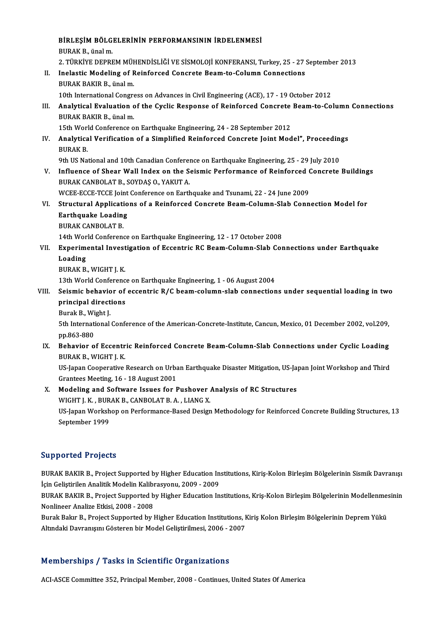|       | BİRLEŞİM BÖLGELERİNİN PERFORMANSININ İRDELENMESİ                                                                          |
|-------|---------------------------------------------------------------------------------------------------------------------------|
|       | BURAK B, ünal m.                                                                                                          |
|       | 2. TÜRKİYE DEPREM MÜHENDİSLİĞİ VE SİSMOLOJİ KONFERANSI, Turkey, 25 - 27 September 2013                                    |
| Н.    | Inelastic Modeling of Reinforced Concrete Beam-to-Column Connections                                                      |
|       | BURAK BAKIR B., ünal m.                                                                                                   |
|       | 10th International Congress on Advances in Civil Engineering (ACE), 17 - 19 October 2012                                  |
| Ш.    | Analytical Evaluation of the Cyclic Response of Reinforced Concrete Beam-to-Column Connections                            |
|       | BURAK BAKIR B., ünal m.                                                                                                   |
|       | 15th World Conference on Earthquake Engineering, 24 - 28 September 2012                                                   |
| IV.   | Analytical Verification of a Simplified Reinforced Concrete Joint Model", Proceedings                                     |
|       | <b>BURAK B.</b>                                                                                                           |
|       | 9th US National and 10th Canadian Conference on Earthquake Engineering, 25 - 29 July 2010                                 |
| V.    | Influence of Shear Wall Index on the Seismic Performance of Reinforced Concrete Buildings                                 |
|       | BURAK CANBOLAT B., SOYDAŞ O., YAKUT A.                                                                                    |
|       | WCEE-ECCE-TCCE Joint Conference on Earthquake and Tsunami, 22 - 24 June 2009                                              |
| VI.   | Structural Applications of a Reinforced Concrete Beam-Column-Slab Connection Model for                                    |
|       | <b>Earthquake Loading</b>                                                                                                 |
|       | <b>BURAK CANBOLAT B.</b>                                                                                                  |
|       | 14th World Conference on Earthquake Engineering, 12 - 17 October 2008                                                     |
| VII.  | Experimental Investigation of Eccentric RC Beam-Column-Slab Connections under Earthquake                                  |
|       | Loading                                                                                                                   |
|       | <b>BURAK B., WIGHT J. K.</b>                                                                                              |
|       | 13th World Conference on Earthquake Engineering, 1 - 06 August 2004                                                       |
| VIII. | Seismic behavior of eccentric R/C beam-column-slab connections under sequential loading in two                            |
|       | principal directions                                                                                                      |
|       | Burak B, Wight J                                                                                                          |
|       | 5th International Conference of the American-Concrete-Institute, Cancun, Mexico, 01 December 2002, vol.209,<br>pp 863-880 |
|       | IX. Behavior of Eccentric Reinforced Concrete Beam-Column-Slab Connections under Cyclic Loading                           |
|       | BURAK B, WIGHT J. K.                                                                                                      |
|       | US-Japan Cooperative Research on Urban Earthquake Disaster Mitigation, US-Japan Joint Workshop and Third                  |
|       | Grantees Meeting, 16 - 18 August 2001                                                                                     |
| X.    | Modeling and Software Issues for Pushover Analysis of RC Structures                                                       |
|       | WIGHT J. K., BURAK B., CANBOLAT B. A., LIANG X.                                                                           |
|       | US-Japan Workshop on Performance-Based Design Methodology for Reinforced Concrete Building Structures, 13                 |
|       | $\mathcal{C}_{\mathbf{a}}$ the matrices of $1000$                                                                         |

WIGHT J. K. , BUR<br>US-Japan Worksh<br>September 1999

# September 1999<br>Supported Projects

BURAK BAKIR B., Project Supported by Higher Education Institutions, Kiriş-Kolon Birleşim Bölgelerinin Sismik Davranışı İçin Geliştirilen Analitik Modelin Kalibrasyonu, 2009 - 2009 BURAK BAKIR B., Project Supported by Higher Education Institutions, Kiriş-Kolon Birleşim Bölgelerinin Sismik Davranışı<br>İçin Geliştirilen Analitik Modelin Kalibrasyonu, 2009 - 2009<br>BURAK BAKIR B., Project Supported by Highe

İçin Geliştirilen Analitik Modelin Kalibı<br>BURAK BAKIR B., Project Supported b<br>Nonlineer Analize Etkisi, 2008 - 2008<br><sup>Burak</sup> Bakır B., Project Supported bu l BURAK BAKIR B., Project Supported by Higher Education Institutions, Kriş-Kolon Birleşim Bölgelerinin Modellenme<br>Nonlineer Analize Etkisi, 2008 - 2008<br>Burak Bakır B., Project Supported by Higher Education Institutions, Kiri

Nonlineer Analize Etkisi, 2008 - 2008<br>Burak Bakır B., Project Supported by Higher Education Institutions, Kiriş Kolon Birleşim Bölgelerinin Deprem Yükü<br>Altındaki Davranışını Gösteren bir Model Geliştirilmesi, 2006 - 2007

#### Memberships / Tasks in Scientific Organizations

ACI-ASCE Committee 352, Principal Member, 2008 - Continues, United States Of America